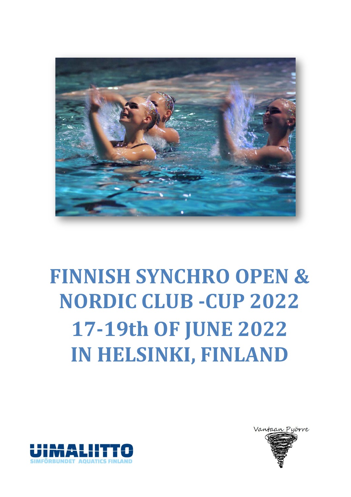

# **FINNISH SYNCHRO OPEN & NORDIC CLUB -CUP 2022 17-19th OF JUNE 2022 IN HELSINKI, FINLAND**



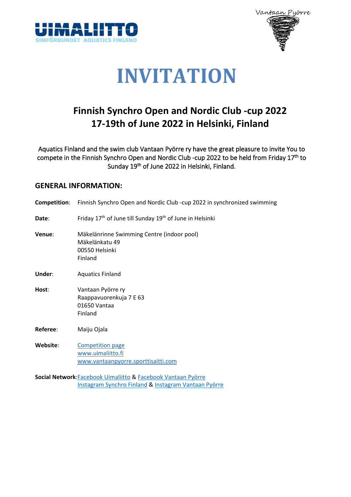



## **INVITATION**

### **Finnish Synchro Open and Nordic Club -cup 2022 17-19th of June 2022 in Helsinki, Finland**

Aquatics Finland and the swim club Vantaan Pyörre ry have the great pleasure to invite You to compete in the Finnish Synchro Open and Nordic Club -cup 2022 to be held from Friday 17th to Sunday 19th of June 2022 in Helsinki, Finland.

#### **GENERAL INFORMATION:**

| Competition: | Finnish Synchro Open and Nordic Club -cup 2022 in synchronized swimming                   |
|--------------|-------------------------------------------------------------------------------------------|
| Date:        | Friday 17 <sup>th</sup> of June till Sunday 19 <sup>th</sup> of June in Helsinki          |
| Venue:       | Mäkelänrinne Swimming Centre (indoor pool)<br>Mäkelänkatu 49<br>00550 Helsinki<br>Finland |
| Under:       | <b>Aquatics Finland</b>                                                                   |
| Host:        | Vantaan Pyörre ry<br>Raappavuorenkuja 7 E 63<br>01650 Vantaa<br>Finland                   |
| Referee:     | Maiju Ojala                                                                               |
| Website:     | <b>Competition page</b><br>www.uimaliitto.fi<br>www.vantaanpyorre.sporttisaitti.com       |
|              | Social Network: Facebook Uimaliitto & Facebook Vantaan Pyörre                             |

[Instagram Synchro](https://www.instagram.com/synchrofinland/) Finland [& Instagram Vantaan Pyörre](https://www.instagram.com/vantaanpyorre/)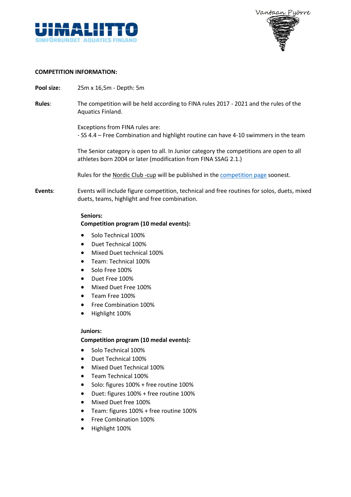



#### **COMPETITION INFORMATION:**

- **Pool size:** 25m x 16,5m Depth: 5m
- **Rules**: The competition will be held according to FINA rules 2017 2021 and the rules of the Aquatics Finland.

Exceptions from FINA rules are: - SS 4.4 – Free Combination and highlight routine can have 4-10 swimmers in the team

The Senior category is open to all. In Junior category the competitions are open to all athletes born 2004 or later (modification from FINA SSAG 2.1.)

Rules for the Nordic Club -cup will be published in the [competition page](https://vantaanpyorre.sporttisaitti.com/finnish-synchro-open-nordic-club/) soonest.

**Events**: Events will include figure competition, technical and free routines for solos, duets, mixed duets, teams, highlight and free combination.

#### **Seniors:**

#### **Competition program (10 medal events):**

- Solo Technical 100%
- Duet Technical 100%
- Mixed Duet technical 100%
- Team: Technical 100%
- Solo Free 100%
- Duet Free 100%
- Mixed Duet Free 100%
- Team Free 100%
- Free Combination 100%
- Highlight 100%

#### **Juniors:**

#### **Competition program (10 medal events):**

- Solo Technical 100%
- Duet Technical 100%
- Mixed Duet Technical 100%
- Team Technical 100%
- Solo: figures 100% + free routine 100%
- Duet: figures 100% + free routine 100%
- Mixed Duet free 100%
- Team: figures 100% + free routine 100%
- Free Combination 100%
- Highlight 100%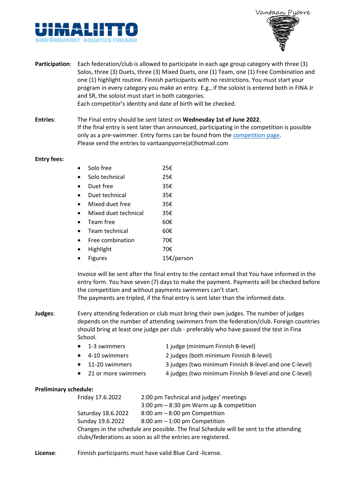



- **Participation**: Each federation/club is allowed to participate in each age group category with three (3) Solos, three (3) Duets, three (3) Mixed Duets, one (1) Team, one (1) Free Combination and one (1) highlight routine. Finnish participants with no restrictions. You must start your program in every category you make an entry. E.g., if the soloist is entered both in FINA Jr and SR, the soloist must start in both categories. Each competitor's identity and date of birth will be checked.
- **Entries**: The Final entry should be sent latest on **Wednesday 1st of June 2022**. If the final entry is sent later than announced, participating in the competition is possible only as a pre-swimmer. Entry forms can be found from th[e competition page.](https://vantaanpyorre.sporttisaitti.com/finnish-synchro-open-nordic-club/) Please send the entries to vantaanpyorre(at)hotmail.com

#### **Entry fees:**

| $\bullet$ | Solo free |  | 25€ |
|-----------|-----------|--|-----|
|           |           |  |     |

- Solo technical 25€ • Duet free 35€
- 
- Duet technical 35€ • Mixed duet free 35€
- Mixed duet technical 35€
- Team free 60 $\epsilon$
- Team technical 60€
- Free combination 70 $\varepsilon$
- Highlight 70€
- Figures 15€/person

Invoice will be sent after the final entry to the contact email that You have informed in the entry form. You have seven (7) days to make the payment. Payments will be checked before the competition and without payments swimmers can't start.

The payments are tripled, if the final entry is sent later than the informed date.

- **Judges**: Every attending federation or club must bring their own judges. The number of judges depends on the number of attending swimmers from the federation/club. Foreign countries should bring at least one judge per club - preferably who have passed the test in Fina School.
	- 1-3 swimmers 1 judge (minimum Finnish B-level)
		- 4-10 swimmers 2 judges (both minimum Finnish B-level)
		- 11-20 swimmers 3 judges (two minimum Finnish B-level and one C-level)
	- 21 or more swimmers 4 judges (two minimum Finnish B-level and one C-level)

#### **Preliminary schedule:**

| Friday 17.6.2022                                                                       | 2:00 pm Technical and judges' meetings     |  |  |
|----------------------------------------------------------------------------------------|--------------------------------------------|--|--|
|                                                                                        | $3:00$ pm $-8:30$ pm Warm up & competition |  |  |
| Saturday 18.6.2022                                                                     | $8:00$ am $-8:00$ pm Competition           |  |  |
| Sunday 19.6.2022                                                                       | $8:00$ am $-1:00$ pm Competition           |  |  |
| Changes in the schedule are possible. The final Schedule will be sent to the attending |                                            |  |  |
| clubs/federations as soon as all the entries are registered.                           |                                            |  |  |

**License**: Finnish participants must have valid Blue Card -license.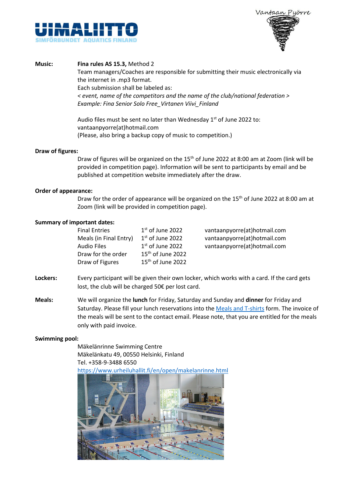



#### **Music: Fina rules AS 15.3,** Method 2

Team managers/Coaches are responsible for submitting their music electronically via the internet in .mp3 format. Each submission shall be labeled as: *< event, name of the competitors and the name of the club/national federation > Example: Fina Senior Solo Free\_Virtanen Viivi\_Finland*

Audio files must be sent no later than Wednesday  $1<sup>st</sup>$  of June 2022 to: vantaanpyorre(at)hotmail.com (Please, also bring a backup copy of music to competition.)

#### **Draw of figures:**

Draw of figures will be organized on the 15<sup>th</sup> of June 2022 at 8:00 am at Zoom (link will be provided in competition page). Information will be sent to participants by email and be published at competition website immediately after the draw.

#### **Order of appearance:**

Draw for the order of appearance will be organized on the 15<sup>th</sup> of June 2022 at 8:00 am at Zoom (link will be provided in competition page).

#### **Summary of important dates:**

| <b>Final Entries</b>   | $1st$ of June 2022  | vantaanpyorre(at)hotmail.com |
|------------------------|---------------------|------------------------------|
| Meals (in Final Entry) | $1st$ of June 2022  | vantaanpyorre(at)hotmail.com |
| <b>Audio Files</b>     | $1st$ of June 2022  | vantaanpyorre(at)hotmail.com |
| Draw for the order     | $15th$ of June 2022 |                              |
| Draw of Figures        | $15th$ of June 2022 |                              |

- **Lockers:** Every participant will be given their own locker, which works with a card. If the card gets lost, the club will be charged 50€ per lost card.
- **Meals:** We will organize the **lunch** for Friday, Saturday and Sunday and **dinner** for Friday and Saturday. Please fill your lunch reservations into the [Meals and T-shirts](https://vantaanpyorre.sporttisaitti.com/@Bin/284686/NSM_SM+Meals+and+T-Shirts.xlsx) form. The invoice of the meals will be sent to the contact email. Please note, that you are entitled for the meals only with paid invoice.

#### **Swimming pool:**

Mäkelänrinne Swimming Centre Mäkelänkatu 49, 00550 Helsinki, Finland Tel. +358-9-3488 6550

<https://www.urheiluhallit.fi/en/open/makelanrinne.html>